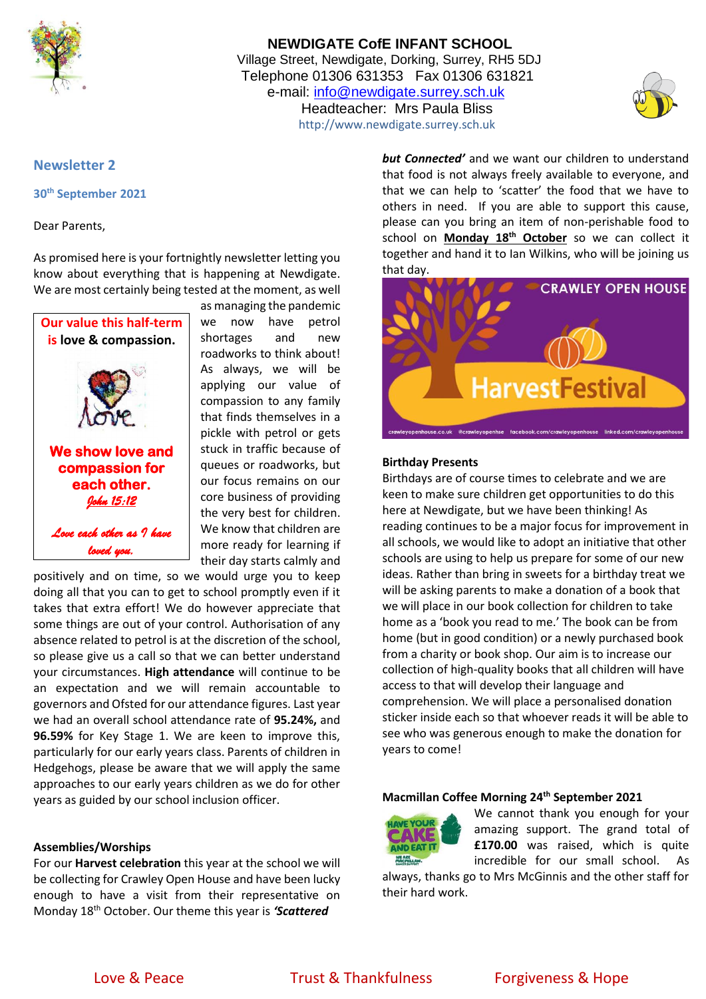

## **NEWDIGATE CofE INFANT SCHOOL** Village Street, Newdigate, Dorking, Surrey, RH5 5DJ Telephone 01306 631353 Fax 01306 631821 e-mail: [info@newdigate.surrey.sch.uk](mailto:info@newdigate.surrey.sch.uk) Headteacher: Mrs Paula Bliss http://www.newdigate.surrey.sch.uk



### **Newsletter 2**

**30th September 2021**

Dear Parents,

As promised here is your fortnightly newsletter letting you know about everything that is happening at Newdigate. We are most certainly being tested at the moment, as well



as managing the pandemic we now have petrol shortages and new roadworks to think about! As always, we will be applying our value of compassion to any family that finds themselves in a pickle with petrol or gets stuck in traffic because of queues or roadworks, but our focus remains on our core business of providing the very best for children. We know that children are more ready for learning if their day starts calmly and

positively and on time, so we would urge you to keep doing all that you can to get to school promptly even if it takes that extra effort! We do however appreciate that some things are out of your control. Authorisation of any absence related to petrol is at the discretion of the school, so please give us a call so that we can better understand your circumstances. **High attendance** will continue to be an expectation and we will remain accountable to governors and Ofsted for our attendance figures. Last year we had an overall school attendance rate of **95.24%,** and **96.59%** for Key Stage 1. We are keen to improve this, particularly for our early years class. Parents of children in Hedgehogs, please be aware that we will apply the same approaches to our early years children as we do for other years as guided by our school inclusion officer.

### **Assemblies/Worships**

For our **Harvest celebration** this year at the school we will be collecting for Crawley Open House and have been lucky enough to have a visit from their representative on Monday 18th October. Our theme this year is *'Scattered*

*but Connected'* and we want our children to understand that food is not always freely available to everyone, and that we can help to 'scatter' the food that we have to others in need. If you are able to support this cause, please can you bring an item of non-perishable food to school on **Monday 18th October** so we can collect it together and hand it to Ian Wilkins, who will be joining us that day.



#### **Birthday Presents**

Birthdays are of course times to celebrate and we are keen to make sure children get opportunities to do this here at Newdigate, but we have been thinking! As reading continues to be a major focus for improvement in all schools, we would like to adopt an initiative that other schools are using to help us prepare for some of our new ideas. Rather than bring in sweets for a birthday treat we will be asking parents to make a donation of a book that we will place in our book collection for children to take home as a 'book you read to me.' The book can be from home (but in good condition) or a newly purchased book from a charity or book shop. Our aim is to increase our collection of high-quality books that all children will have access to that will develop their language and comprehension. We will place a personalised donation sticker inside each so that whoever reads it will be able to see who was generous enough to make the donation for years to come!

#### **Macmillan Coffee Morning 24th September 2021**



We cannot thank you enough for your amazing support. The grand total of **£170.00** was raised, which is quite incredible for our small school. As

always, thanks go to Mrs McGinnis and the other staff for their hard work.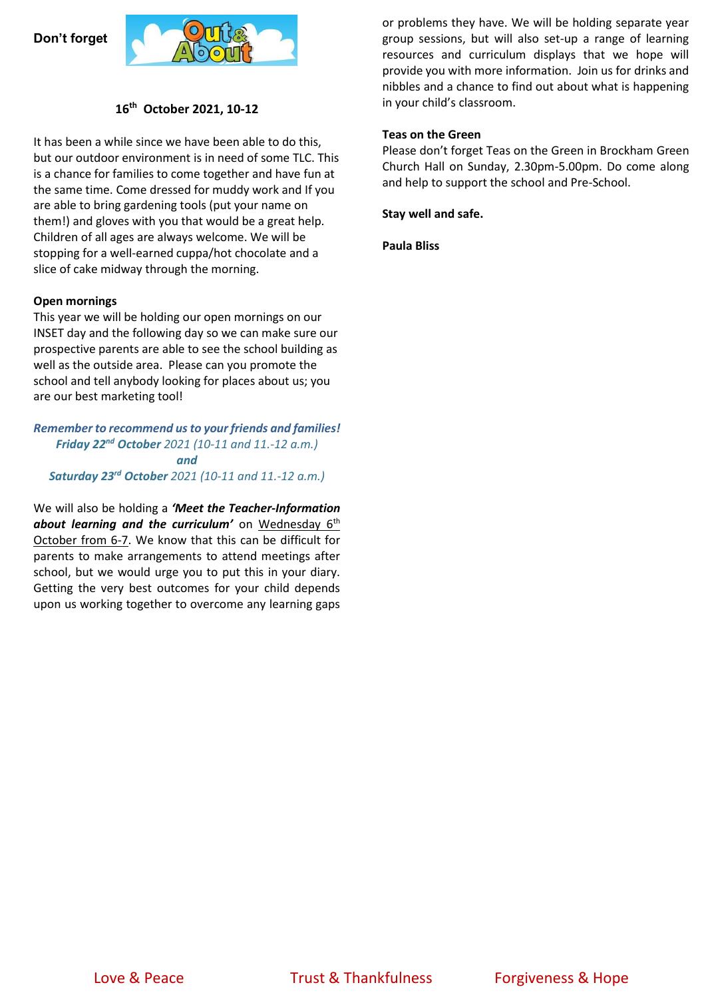### **Don't forget**



### **16 th October 2021, 10-12**

It has been a while since we have been able to do this, but our outdoor environment is in need of some TLC. This is a chance for families to come together and have fun at the same time. Come dressed for muddy work and If you are able to bring gardening tools (put your name on them!) and gloves with you that would be a great help. Children of all ages are always welcome. We will be stopping for a well-earned cuppa/hot chocolate and a slice of cake midway through the morning.

#### **Open mornings**

This year we will be holding our open mornings on our INSET day and the following day so we can make sure our prospective parents are able to see the school building as well as the outside area. Please can you promote the school and tell anybody looking for places about us; you are our best marketing tool!

*Remember to recommend us to your friends and families! Friday 22nd October 2021 (10-11 and 11.-12 a.m.) and Saturday 23rd October 2021 (10-11 and 11.-12 a.m.)*

We will also be holding a *'Meet the Teacher-Information*  about learning and the curriculum' on Wednesday 6<sup>th</sup> October from 6-7. We know that this can be difficult for parents to make arrangements to attend meetings after school, but we would urge you to put this in your diary. Getting the very best outcomes for your child depends upon us working together to overcome any learning gaps or problems they have. We will be holding separate year group sessions, but will also set-up a range of learning resources and curriculum displays that we hope will provide you with more information. Join us for drinks and nibbles and a chance to find out about what is happening in your child's classroom.

### **Teas on the Green**

Please don't forget Teas on the Green in Brockham Green Church Hall on Sunday, 2.30pm-5.00pm. Do come along and help to support the school and Pre-School.

**Stay well and safe.**

**Paula Bliss**